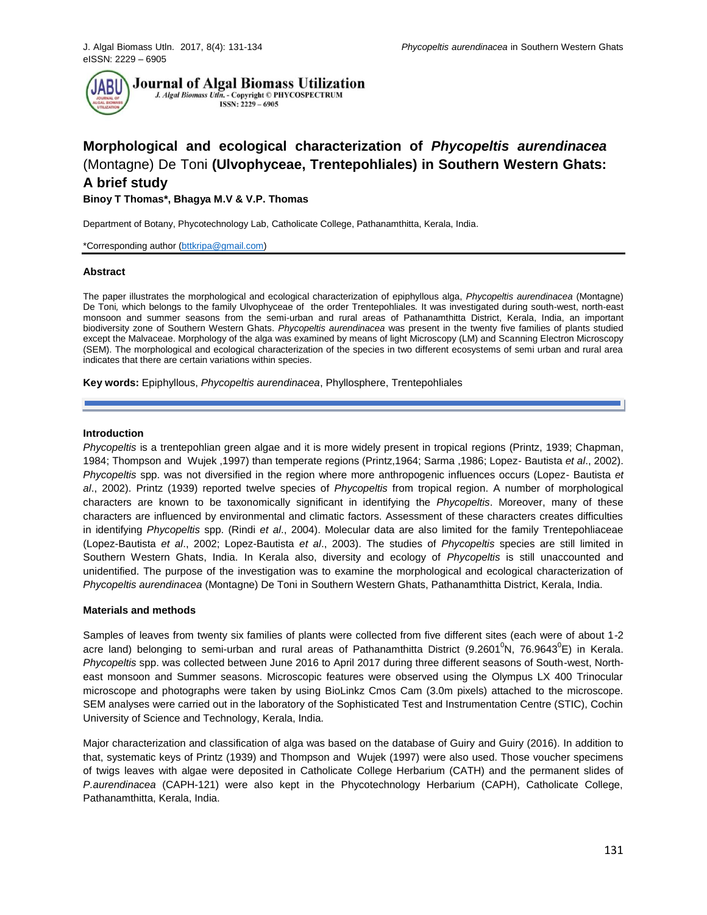

# **Morphological and ecological characterization of** *Phycopeltis aurendinacea*  (Montagne) De Toni **(Ulvophyceae, Trentepohliales) in Southern Western Ghats: A brief study**

# **Binoy T Thomas\*, Bhagya M.V & V.P. Thomas**

Department of Botany, Phycotechnology Lab, Catholicate College, Pathanamthitta, Kerala, India.

\*Corresponding author [\(bttkripa@gmail.com\)](mailto:bttkripa@gmail.com)

### **Abstract**

The paper illustrates the morphological and ecological characterization of epiphyllous alga, *Phycopeltis aurendinacea* (Montagne) De Toni*,* which belongs to the family Ulvophyceae of the order Trentepohliales*.* It was investigated during south-west, north-east monsoon and summer seasons from the semi-urban and rural areas of Pathanamthitta District, Kerala, India, an important biodiversity zone of Southern Western Ghats. *Phycopeltis aurendinacea* was present in the twenty five families of plants studied except the Malvaceae. Morphology of the alga was examined by means of light Microscopy (LM) and Scanning Electron Microscopy (SEM). The morphological and ecological characterization of the species in two different ecosystems of semi urban and rural area indicates that there are certain variations within species.

**Key words:** Epiphyllous, *Phycopeltis aurendinacea*, Phyllosphere, Trentepohliales

### **Introduction**

*Phycopeltis* is a trentepohlian green algae and it is more widely present in tropical regions (Printz, 1939; Chapman, 1984; Thompson and Wujek ,1997) than temperate regions (Printz,1964; Sarma ,1986; Lopez- Bautista *et al*., 2002). *Phycopeltis* spp. was not diversified in the region where more anthropogenic influences occurs (Lopez- Bautista *et al*., 2002). Printz (1939) reported twelve species of *Phycopeltis* from tropical region. A number of morphological characters are known to be taxonomically significant in identifying the *Phycopeltis*. Moreover, many of these characters are influenced by environmental and climatic factors. Assessment of these characters creates difficulties in identifying *Phycopeltis* spp. (Rindi *et al*., 2004). Molecular data are also limited for the family Trentepohliaceae (Lopez-Bautista *et al*., 2002; Lopez-Bautista *et al*., 2003). The studies of *Phycopeltis* species are still limited in Southern Western Ghats, India. In Kerala also, diversity and ecology of *Phycopeltis* is still unaccounted and unidentified. The purpose of the investigation was to examine the morphological and ecological characterization of *Phycopeltis aurendinacea* (Montagne) De Toni in Southern Western Ghats, Pathanamthitta District, Kerala, India.

## **Materials and methods**

Samples of leaves from twenty six families of plants were collected from five different sites (each were of about 1-2 acre land) belonging to semi-urban and rural areas of Pathanamthitta District (9.2601<sup>0</sup>N, 76.9643<sup>0</sup>E) in Kerala. *Phycopeltis* spp. was collected between June 2016 to April 2017 during three different seasons of South-west, Northeast monsoon and Summer seasons. Microscopic features were observed using the Olympus LX 400 Trinocular microscope and photographs were taken by using BioLinkz Cmos Cam (3.0m pixels) attached to the microscope. SEM analyses were carried out in the laboratory of the Sophisticated Test and Instrumentation Centre (STIC), Cochin University of Science and Technology, Kerala, India.

Major characterization and classification of alga was based on the database of Guiry and Guiry (2016). In addition to that, systematic keys of Printz (1939) and Thompson and Wujek (1997) were also used. Those voucher specimens of twigs leaves with algae were deposited in Catholicate College Herbarium (CATH) and the permanent slides of *P.aurendinacea* (CAPH-121) were also kept in the Phycotechnology Herbarium (CAPH), Catholicate College, Pathanamthitta, Kerala, India.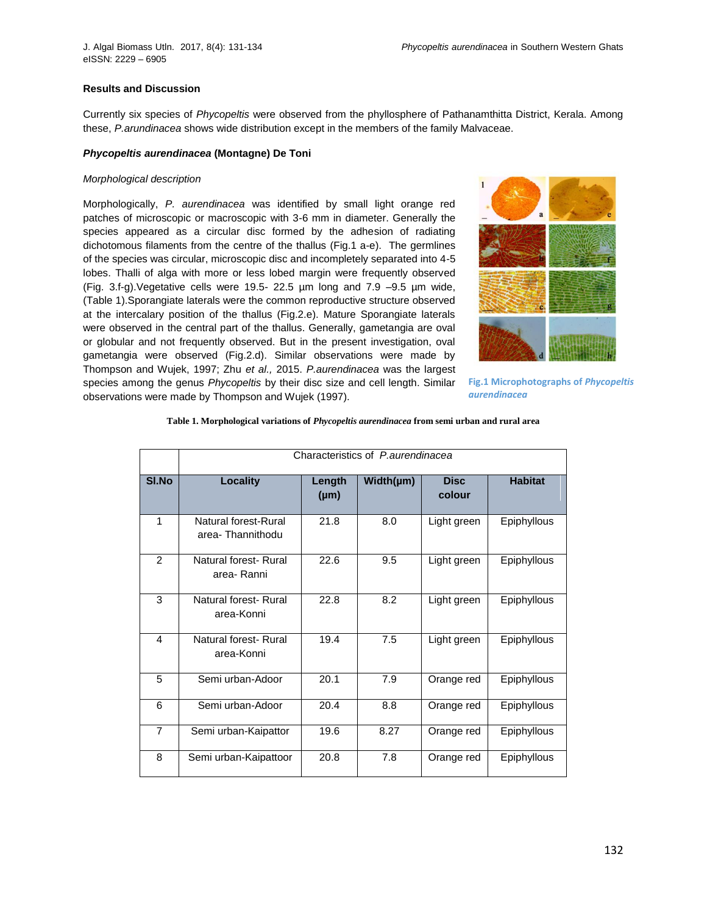# **Results and Discussion**

Currently six species of *Phycopeltis* were observed from the phyllosphere of Pathanamthitta District, Kerala. Among these, *P.arundinacea* shows wide distribution except in the members of the family Malvaceae.

# *Phycopeltis aurendinacea* **(Montagne) De Toni**

#### *Morphological description*

Morphologically, *P. aurendinacea* was identified by small light orange red patches of microscopic or macroscopic with 3-6 mm in diameter. Generally the species appeared as a circular disc formed by the adhesion of radiating dichotomous filaments from the centre of the thallus (Fig.1 a-e). The germlines of the species was circular, microscopic disc and incompletely separated into 4-5 lobes. Thalli of alga with more or less lobed margin were frequently observed (Fig. 3.f-g).Vegetative cells were 19.5- 22.5 µm long and 7.9 –9.5 µm wide, (Table 1).Sporangiate laterals were the common reproductive structure observed at the intercalary position of the thallus (Fig.2.e). Mature Sporangiate laterals were observed in the central part of the thallus. Generally, gametangia are oval or globular and not frequently observed. But in the present investigation, oval gametangia were observed (Fig.2.d). Similar observations were made by Thompson and Wujek, 1997; Zhu *et al.,* 2015. *P.aurendinacea* was the largest species among the genus *Phycopeltis* by their disc size and cell length. Similar observations were made by Thompson and Wujek (1997).



**Fig.1 Microphotographs of** *Phycopeltis aurendinacea*

|  | Table 1. Morphological variations of Phycopeltis aurendinacea from semi urban and rural area |  |  |
|--|----------------------------------------------------------------------------------------------|--|--|
|  |                                                                                              |  |  |

|                | Characteristics of P.aurendinacea        |                     |           |                       |                |  |  |
|----------------|------------------------------------------|---------------------|-----------|-----------------------|----------------|--|--|
| SI.No          | <b>Locality</b>                          | Length<br>$(\mu m)$ | Width(µm) | <b>Disc</b><br>colour | <b>Habitat</b> |  |  |
| 1              | Natural forest-Rural<br>area-Thannithodu | 21.8                | 8.0       | Light green           | Epiphyllous    |  |  |
| $\mathcal{P}$  | Natural forest- Rural<br>area- Ranni     | 22.6                | 9.5       | Light green           | Epiphyllous    |  |  |
| 3              | Natural forest- Rural<br>area-Konni      | 22.8                | 8.2       | Light green           | Epiphyllous    |  |  |
| 4              | Natural forest-Rural<br>area-Konni       | 19.4                | 7.5       | Light green           | Epiphyllous    |  |  |
| 5              | Semi urban-Adoor                         | 20.1                | 7.9       | Orange red            | Epiphyllous    |  |  |
| 6              | Semi urban-Adoor                         | 20.4                | 8.8       | Orange red            | Epiphyllous    |  |  |
| $\overline{7}$ | Semi urban-Kaipattor                     | 19.6                | 8.27      | Orange red            | Epiphyllous    |  |  |
| 8              | Semi urban-Kaipattoor                    | 20.8                | 7.8       | Orange red            | Epiphyllous    |  |  |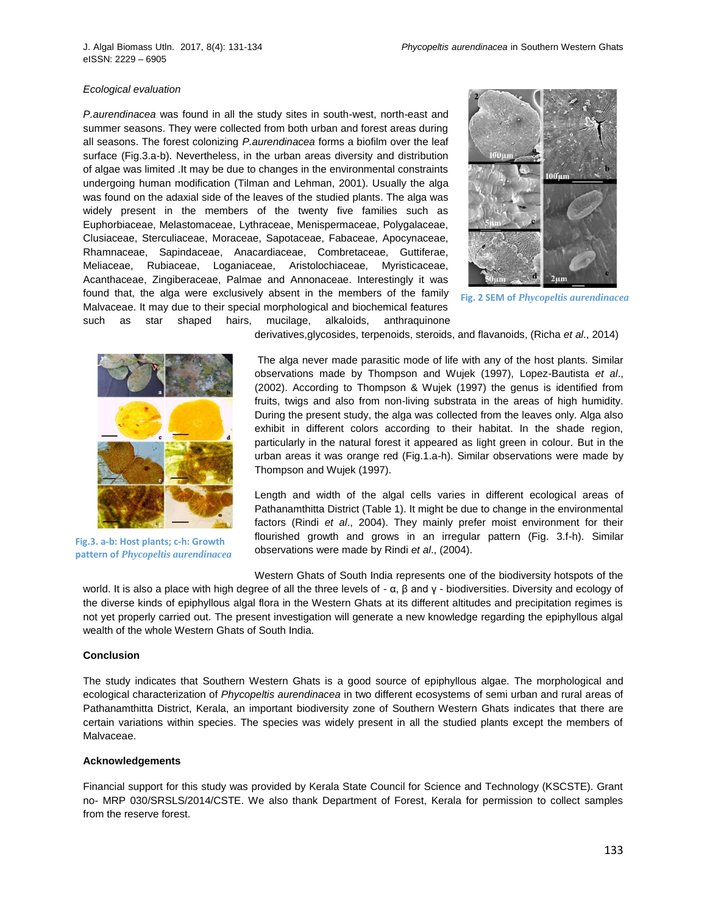#### *Ecological evaluation*

*P.aurendinacea* was found in all the study sites in south-west, north-east and summer seasons. They were collected from both urban and forest areas during all seasons. The forest colonizing *P.aurendinacea* forms a biofilm over the leaf surface (Fig.3.a-b). Nevertheless, in the urban areas diversity and distribution of algae was limited .It may be due to changes in the environmental constraints undergoing human modification (Tilman and Lehman, 2001). Usually the alga was found on the adaxial side of the leaves of the studied plants. The alga was widely present in the members of the twenty five families such as Euphorbiaceae, Melastomaceae, Lythraceae, Menispermaceae, Polygalaceae, Clusiaceae, Sterculiaceae, Moraceae, Sapotaceae, Fabaceae, Apocynaceae, Rhamnaceae, Sapindaceae, Anacardiaceae, Combretaceae, Guttiferae, Meliaceae, Rubiaceae, Loganiaceae, Aristolochiaceae, Myristicaceae, Acanthaceae, Zingiberaceae, Palmae and Annonaceae. Interestingly it was found that, the alga were exclusively absent in the members of the family Malvaceae. It may due to their special morphological and biochemical features such as star shaped hairs, mucilage, alkaloids, anthraquinone



**Fig. 2 SEM of** *Phycopeltis aurendinacea*



**Fig.3. a-b: Host plants; c-h: Growth pattern of** *Phycopeltis aurendinacea*

derivatives,glycosides, terpenoids, steroids, and flavanoids, (Richa *et al*., 2014)

The alga never made parasitic mode of life with any of the host plants. Similar observations made by Thompson and Wujek (1997), Lopez-Bautista *et al*., (2002). According to Thompson & Wujek (1997) the genus is identified from fruits, twigs and also from non-living substrata in the areas of high humidity. During the present study, the alga was collected from the leaves only. Alga also exhibit in different colors according to their habitat. In the shade region, particularly in the natural forest it appeared as light green in colour. But in the urban areas it was orange red (Fig.1.a-h). Similar observations were made by Thompson and Wujek (1997).

Length and width of the algal cells varies in different ecological areas of Pathanamthitta District (Table 1). It might be due to change in the environmental factors (Rindi *et al*., 2004). They mainly prefer moist environment for their flourished growth and grows in an irregular pattern (Fig. 3.f-h). Similar observations were made by Rindi *et al*., (2004).

Western Ghats of South India represents one of the biodiversity hotspots of the world. It is also a place with high degree of all the three levels of - α, β and γ - biodiversities. Diversity and ecology of the diverse kinds of epiphyllous algal flora in the Western Ghats at its different altitudes and precipitation regimes is not yet properly carried out. The present investigation will generate a new knowledge regarding the epiphyllous algal wealth of the whole Western Ghats of South India.

## **Conclusion**

The study indicates that Southern Western Ghats is a good source of epiphyllous algae. The morphological and ecological characterization of *Phycopeltis aurendinacea* in two different ecosystems of semi urban and rural areas of Pathanamthitta District, Kerala, an important biodiversity zone of Southern Western Ghats indicates that there are certain variations within species. The species was widely present in all the studied plants except the members of Malvaceae.

# **Acknowledgements**

Financial support for this study was provided by Kerala State Council for Science and Technology (KSCSTE). Grant no- MRP 030/SRSLS/2014/CSTE. We also thank Department of Forest, Kerala for permission to collect samples from the reserve forest.